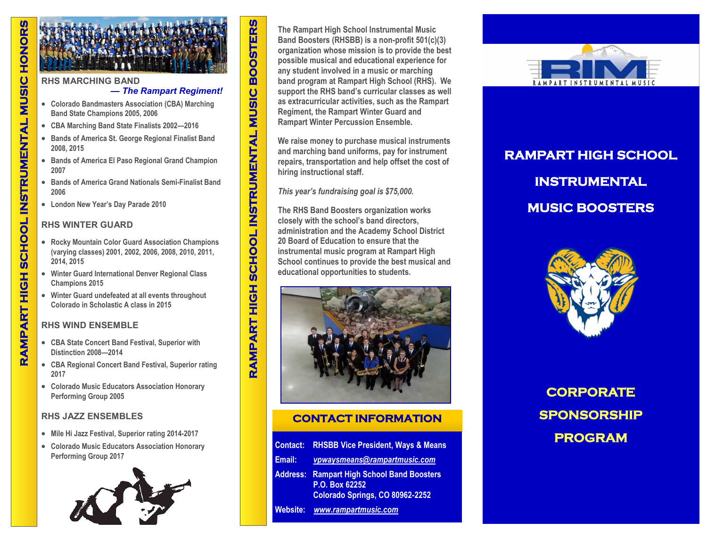### **RHS MARCHING BAND**

# **—** *The Rampart Regiment!*

- **Colorado Bandmasters Association (CBA) Marching Band State Champions 2005, 2006**
- **CBA Marching Band State Finalists 2002—2016**
- **Bands of America St. George Regional Finalist Band 2008, 2015**
- **Bands of America El Paso Regional Grand Champion 2007**
- **Bands of America Grand Nationals Semi-Finalist Band 2006**
- **London New Year's Day Parade 2010**

# **RHS WINTER GUARD**

- **Rocky Mountain Color Guard Association Champions (varying classes) 2001, 2002, 2006, 2008, 2010, 2011, 2014, 2015**
- **Winter Guard International Denver Regional Class Champions 2015**
- **Winter Guard undefeated at all events throughout Colorado in Scholastic A class in 2015**

# **RHS WIND ENSEMBLE**

- **CBA State Concert Band Festival, Superior with Distinction 2008—2014**
- **CBA Regional Concert Band Festival, Superior rating 2017**
- **Colorado Music Educators Association Honorary Performing Group 2005**

# **RHS JAZZ ENSEMBLES**

- **Mile Hi Jazz Festival, Superior rating 2014-2017**
- **Colorado Music Educators Association Honorary Performing Group 2017**



**The Rampart High School Instrumental Music Band Boosters (RHSBB) is a non-profit 501(c)(3) organization whose mission is to provide the best possible musical and educational experience for any student involved in a music or marching band program at Rampart High School (RHS). We support the RHS band's curricular classes as well as extracurricular activities, such as the Rampart Regiment, the Rampart Winter Guard and Rampart Winter Percussion Ensemble.**

**We raise money to purchase musical instruments and marching band uniforms, pay for instrument repairs, transportation and help offset the cost of hiring instructional staff.** 

*This year's fundraising goal is \$75,000.*

**RAMPART HIGH SCHOOL INSTRUMENTAL MUSIC BOOSTERS** 

**The RHS Band Boosters organization works closely with the school's band directors, administration and the Academy School District 20 Board of Education to ensure that the instrumental music program at Rampart High School continues to provide the best musical and educational opportunities to students.** 



# **CONTACT INFORMATION**

|                 | <b>Contact: RHSBB Vice President, Ways &amp; Means</b>                                        |
|-----------------|-----------------------------------------------------------------------------------------------|
| Email:          | vpwaysmeans@rampartmusic.com                                                                  |
| <b>Address:</b> | <b>Rampart High School Band Boosters</b><br>P.O. Box 62252<br>Colorado Springs, CO 80962-2252 |
| Website:        | www.rampartmusic.com                                                                          |



# **RAMPART HIGH SCHOOL INSTRUMENTAL MUSIC BOOSTERS**



**CORPORATE SPONSORSHIP PROGRAM**